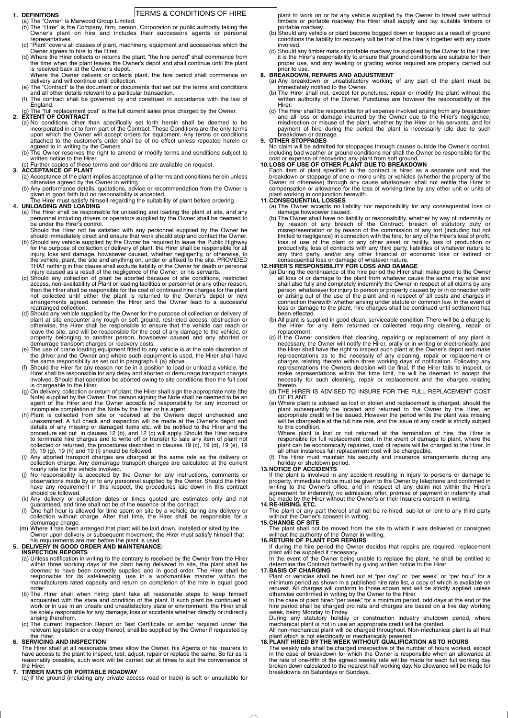#### **1. DEFINITIONS**

- (a) The "Owner" is Marwood Group Limited.
- (b) The "Hirer" is the Company, firm, person, Corporation or public authority taking the Owner's plant on hire and includes their successors agents or personal representatives.
- (c) "Plant" covers all classes of plant, machinery, equipment and accessories which the Owner agrees to hire to the Hirer.
- (d) Where the Hirer collects or returns the plant, "the hire period" shall commence from the time when the plant leaves the Owner's depot and shall continue until the plant is received back at the Owner's depot.
- Where the Owner delivers or collects plant, the hire period shall commence on delivery and will continue until collection.
- (e) The "Contract" is the document or documents that set out the terms and conditions and all other details relevant to a particular transaction.
- (f) The contract shall be governed by and construed in accordance with the law of England.
- (g) The "full replacement cost" is the full current sales price charged by the Owner.

#### **2. EXTENT OF CONTRACT**

- (a) No conditions other than specifically set forth herein shall be deemed to be incorporated in or to form part of the Contract. These Conditions are the only terms upon which the Owner will accept orders for equipment. Any terms or conditions attached to the customer's order shall be of no effect unless repeated herein or agreed to in writing by the Owners.
- (b) The Owner reserves the right to amend or modify terms and conditions subject to written notice to the Hirer.
- (c) Further copies of these terms and conditions are available on request.

#### **3. ACCEPTANCE OF PLANT**

- (a) Acceptance of the plant implies acceptance of all terms and conditions herein unless otherwise agreed by the Owner in writing.
- (b) Any performance details, quotations, advice or recommendation from the Owner is given in good faith but no responsibility is accepted.

The Hirer must satisfy himself regarding the suitability of plant before ordering.

#### **4. UNLOADING AND LOADING**

(a) The Hirer shall be responsible for unloading and loading the plant at site, and any personnel including drivers or operators supplied by the Owner shall be deemed to be under the Hirer's control.

Should the Hirer not be satisfied with any personnel supplied by the Owner he should immediately direct and ensure that work should stop and contact the Owner.

- (b) Should any vehicle or plant become bogged down or trapped as a result of ground conditions the liability for recovery will be that of the Hirer's together with any costs involved.
- (c) Should any timber mats or portable roadway be supplied by the Owner to the Hirer, it is the Hirer's responsibility to ensure that ground conditions are suitable for their proper use, and any leveling or grading works required are properly carried out prior to use.

- (b) Should any vehicle supplied by the Owner be required to leave the Public Highway for the purpose of collection or delivery of plant, the Hirer shall be responsible for all injury, loss and damage, howsoever caused, whether negligently, or otherwise, to the vehicle, plant, the site and anything on, under or affixed to the site. PROVIDED THAT nothing in this clause shall exclude liability of the Owner for death or personal injury caused as a result of the negligence of the Owner, or his servants.
- (c) Should any collection of plant be aborted because of site conditions, restricted access, non-availability of Plant or loading facilities or personnel or any other reason, then the Hirer shall be responsible for the cost of continued hire charges for the plant not collected until either the plant is returned to the Owner's depot or new arrangements agreed between the Hirer and the Owner lead to a successful rearranged collection.
- (d) Should any vehicle supplied by the Owner for the purpose of collection or delivery of plant at site encounter any rough or soft ground, restricted access, obstruction or otherwise, the Hirer shall be responsible to ensure that the vehicle can reach or leave the site, and will be responsible for the cost of any damage to the vehicle, or property belonging to another person, howsoever caused and any aborted or demurrage transport charges or recovery costs.
- (e) The use of crane loading equipment fitted to any vehicle is at the sole discretion of the driver and the Owner and where such equipment is used, the Hirer shall have the same responsibility as set out in paragraph 4 (a) above.
- Should the Hirer for any reason not be in a position to load or unload a vehicle, the Hirer shall be responsible for any delay and aborted or demurrage transport charges involved. Should that operation be aborted owing to site conditions then the full cost is chargeable to the Hirer.
- (g) On delivery, collection or return of plant, the Hirer shall sign the appropriate note (the Note) supplied by the Owner. The person signing the Note shall be deemed to be an agent of the Hirer and the Owner accepts no responsibility for any incorrect or incomplete completion of the Note by the Hirer or his agent.
- (h) Plant is collected from site or received at the Owners depot unchecked and unexamined. A full check and inspection will be made at the Owner's depot and details of any missing or damaged items etc. will be notified to the Hirer and the procedure set out in clauses  $12$  (b), and  $12$  (c) will apply. Should the Hirer require to terminate hire charges and to write off or transfer to sale any item of plant not collected or returned, the procedures described in clauses 19 (c), 19 (d), 19 (e), 19 (f), 19 (g), 19 (h) and 19 (i) should be followed.
- (i) Any aborted transport charges are charged at the same rate as the delivery or collection charge. Any demurrage transport charges are calculated at the current hourly rate for the vehicle involved.
- No responsibility is accepted by the Owner for any instructions, comments or observations made by or to any personnel supplied by the Owner. Should the Hirer have any requirement in this respect, the procedures laid down in this contract should be followed.
- (k) Any delivery or collection dates or times quoted are estimates only and not guaranteed, and time shall not be of the essence of the contract.
- (l) One half hour is allowed for time spent on site by a vehicle during any delivery or collection without charge. After that time, the Hirer shall be responsible for a demurrage charge.
- (m) Where it has been arranged that plant will be laid down, installed or sited by the Owner upon delivery or subsequent movement, the Hirer must satisfy himself that his requirements are met before the plant is used.

#### **5. DELIVERY IN GOOD ORDER AND MAINTENANCE: INSPECTION REPORTS**

The Hirer must maintain his security and insurance arrangements during any holiday or shutdown period.

- (a) Unless notification in writing to the contrary is received by the Owner from the Hirer within three working days of the plant being delivered to site, the plant shall be deemed to have been correctly supplied and in good order. The Hirer shall be responsible for its safekeeping, use in a workmanlike manner within the manufacturers rated capacity and return on completion of the hire in equal good order.
- (b) The Hirer shall when hiring plant take all reasonable steps to keep himself acquainted with the state and condition of the plant. If such plant be continued at work or in use in an unsafe and unsatisfactory state or environment, the Hirer shall be solely responsible for any damage, loss or accidents whether directly or indirectly arising therefrom.
- (c) The current Inspection Report or Test Certificate or similar required under the relevant legislation or a copy thereof, shall be supplied by the Owner if requested by the Hirer.

All non-mechanical plant will be charged throughout. Non-mechanical plant is all that plant which is not electrically or mechanically powered.

#### **6. SERVICING AND INSPECTION**

The Hirer shall at all reasonable times allow the Owner, his Agents or his Insurers to have access to the plant to inspect, test, adjust, repair or replace the same. So far as is reasonably possible, such work will be carried out at times to suit the convenience of the Hirer.

### **7. TIMBER MATS OR PORTABLE ROADWAY**

(a) If the ground (including any private access road or track) is soft or unsuitable for

plant to work on or for any vehicle supplied by the Owner to travel over without timbers or portable roadway the Hirer shall supply and lay suitable timbers or portable roadway.

#### **8. BREAKDOWN, REPAIRS AND ADJUSTMENT**

- (a) Any breakdown or unsatisfactory working of any part of the plant must be immediately notified to the Owner.
- (b) The Hirer shall not, except for punctures, repair or modify the plant without the written authority of the Owner. Punctures are however the responsibility of the Hirer.
- (c) The Hirer shall be responsible for all expense involved arising from any breakdown and all loss or damage incurred by the Owner due to the Hirer's negligence, misdirection or misuse of the plant, whether by the Hirer or his servants, and for payment of hire during the period the plant is necessarily idle due to such breakdown or damage.

#### **9. OTHER STOPPAGES**

No claim will be admitted for stoppages through causes outside the Owner's control, including bad weather or ground conditions nor shall the Owner be responsible for the cost or expense of recovering any plant from soft ground.

#### **10.LOSS OF USE OF OTHER PLANT DUE TO BREAKDOWN**

Each item of plant specified in the contract is hired as a separate unit and the breakdown or stoppage of one or more units or vehicles (whether the property of the Owner or otherwise) through any cause whatsoever, shall not entitle the Hirer to compensation or allowance for the loss of working time by any other unit or units of plant working in conjunction herewith.

#### **11.CONSEQUENTIAL LOSSES**

- (a) The Owner accepts no liability nor responsibility for any consequential loss or damage howsoever caused.
- (b) The Owner shall have no liability or responsibility, whether by way of indemnity or by reason of any breach of the Contract, breach of statutory duty or misrepresentation or by reason of the commission of any tort (including but not limited to negligence) in connection with the hire, for any of the Hirer's loss of profit, loss of use of the plant or any other asset or facility, loss of production or productivity, loss of contracts with any third party, liabilities of whatever nature to any third party, and/or any other financial or economic loss or indirect or consequential loss or damage of whatever nature.

#### **12.HIRER'S RESPONSIBILITY FOR LOSS AND DAMAGE**

- (a) During the continuance of the hire period the Hirer shall make good to the Owner all loss of or damage to the plant from whatever cause the same may arise and shall also fully and completely indemnify the Owner in respect of all claims by any person whatsoever for injury to person or property caused by or in connection with or arising out of the use of the plant and in respect of all costs and charges in connection therewith whether arising under statute or common law. In the event of loss or damage to the plant, hire charges shall be continued until settlement has been effected.
- (b) All plant is supplied in good clean, serviceable condition. There will be a charge to the Hirer for any item returned or collected requiring cleaning, repair or replacement.
- (c) If the Owner considers that cleaning, repairing or replacement of any plant is necessary, the Owner will notify the Hirer, orally or in writing or electronically, and the Hirer shall have the right to inspect such plant at the Owner's depot and make representations as to the necessity of any cleaning, repair or replacement or charges relating thereto within three working days of notification. Following any representations the Owners decision will be final. If the Hirer fails to inspect, or make representations within the time limit, he will be deemed to accept the necessity for such cleaning, repair or replacement and the charges relating thereto.
- (d) THE HIRER IS ADVISED TO INSURE FOR THE FULL REPLACEMENT COST OF PLANT.
- (e) Where plant is advised as lost or stolen and replacement is charged, should the plant subsequently be located and returned to the Owner by the Hirer, an appropriate credit will be issued. However the period while the plant was missing will be chargeable at the full hire rate, and the issue of any credit is strictly subject to this condition.

Where plant is lost or not returned at the termination of hire, the Hirer is responsible for full replacement cost. In the event of damage to plant, where the plant can be economically repaired, cost of repairs will be charged to the Hirer. In all other instances full replacement cost will be chargeable.

# **13.NOTICE OF ACCIDENTS**

If the plant is involved in any accident resulting in injury to persons or damage to property, immediate notice must be given to the Owner by telephone and confirmed in writing to the Owner's office, and in respect of any claim not within the Hirer's agreement for indemnity, no admission, offer, promise of payment or indemnity shall be made by the Hirer without the Owner's or their Insurers consent in writing.

#### **14.RE-HIRING, ETC.**

The plant or any part thereof shall not be re-hired, sub-let or lent to any third party without the Owner's consent in writing.

# **15.CHANGE OF SITE**

The plant shall not be moved from the site to which it was delivered or consigned without the authority of the Owner in writing.

#### **16.RETURN OF PLANT FOR REPAIRS**

If during the hire period the Owner decides that repairs are required, replacement plant will be supplied if necessary.

In the event of the Owner being unable to replace the plant, he shall be entitled to determine the Contract forthwith by giving written notice to the Hirer.

#### **17.BASIS OF CHARGING**

Plant or vehicles shall be hired out at "per day" or "per week" or "per hour" for a minimum period as shown in a published hire rate list, a copy of which is available on request. All charges will conform to those shown and will be strictly applied unless otherwise confirmed in writing by the Owner to the Hirer.

In the case of plant hired "per week" for a minimum period, odd days at the end of the hire period shall be charged pro rata and charges are based on a five day working week, being Monday to Friday.

During any statutory holiday or construction industry shutdown period, where mechanical plant is not in use an appropriate credit will be granted.

### **18.PLANT HIRED BY THE WEEK WITHOUT QUALIFICATION AS TO HOURS**

The weekly rate shall be charged irrespective of the number of hours worked, except in the case of breakdown for which the Owner is responsible when an allowance at the rate of one-fifth of the agreed weekly rate will be made for each full working day broken down calculated to the nearest half working day. No allowance will be made for breakdowns on Saturdays or Sundays.

# TERMS & CONDITIONS OF HIRE